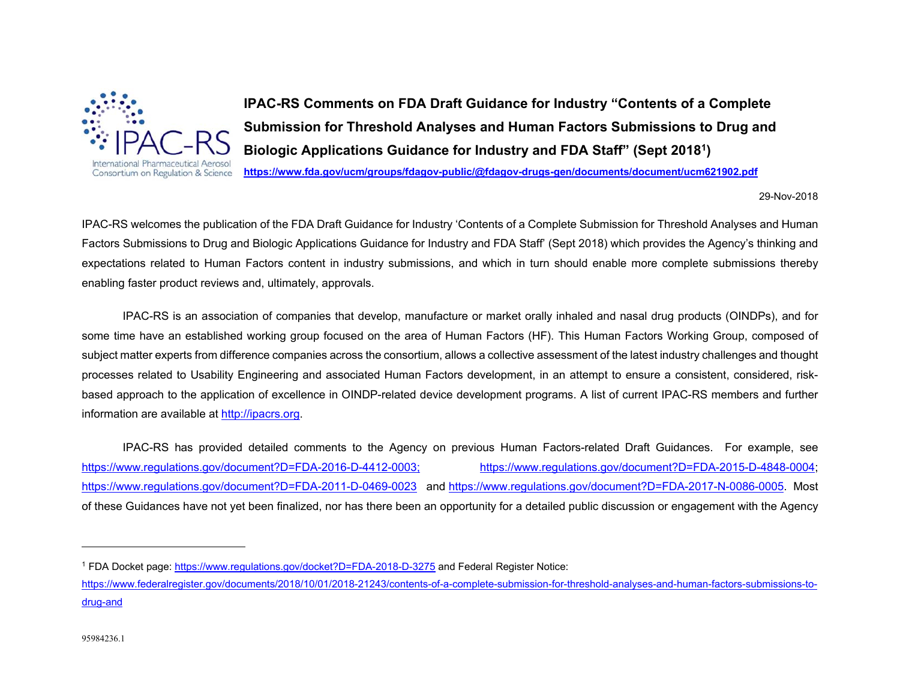

**IPAC-RS Comments on FDA Draft Guidance for Industry "Contents of a Complete Submission for Threshold Analyses and Human Factors Submissions to Drug and Biologic Applications Guidance for Industry and FDA Staff" (Sept 20181)** 

**https://www.fda.gov/ucm/groups/fdagov-public/@fdagov-drugs-gen/documents/document/ucm621902.pdf**

29-Nov-2018

IPAC-RS welcomes the publication of the FDA Draft Guidance for Industry 'Contents of a Complete Submission for Threshold Analyses and Human Factors Submissions to Drug and Biologic Applications Guidance for Industry and FDA Staff' (Sept 2018) which provides the Agency's thinking and expectations related to Human Factors content in industry submissions, and which in turn should enable more complete submissions thereby enabling faster product reviews and, ultimately, approvals.

 IPAC-RS is an association of companies that develop, manufacture or market orally inhaled and nasal drug products (OINDPs), and for some time have an established working group focused on the area of Human Factors (HF). This Human Factors Working Group, composed of subject matter experts from difference companies across the consortium, allows a collective assessment of the latest industry challenges and thought processes related to Usability Engineering and associated Human Factors development, in an attempt to ensure a consistent, considered, riskbased approach to the application of excellence in OINDP-related device development programs. A list of current IPAC-RS members and further information are available at http://ipacrs.org.

 IPAC-RS has provided detailed comments to the Agency on previous Human Factors-related Draft Guidances. For example, see https://www.regulations.gov/document?D=FDA-2016-D-4412-0003; https://www.regulations.gov/document?D=FDA-2015-D-4848-0004; https://www.regulations.gov/document?D=FDA-2011-D-0469-0023 and https://www.regulations.gov/document?D=FDA-2017-N-0086-0005. Most of these Guidances have not yet been finalized, nor has there been an opportunity for a detailed public discussion or engagement with the Agency

<sup>1</sup> FDA Docket page: https://www.regulations.gov/docket?D=FDA-2018-D-3275 and Federal Register Notice:

https://www.federalregister.gov/documents/2018/10/01/2018-21243/contents-of-a-complete-submission-for-threshold-analyses-and-human-factors-submissions-todrug-and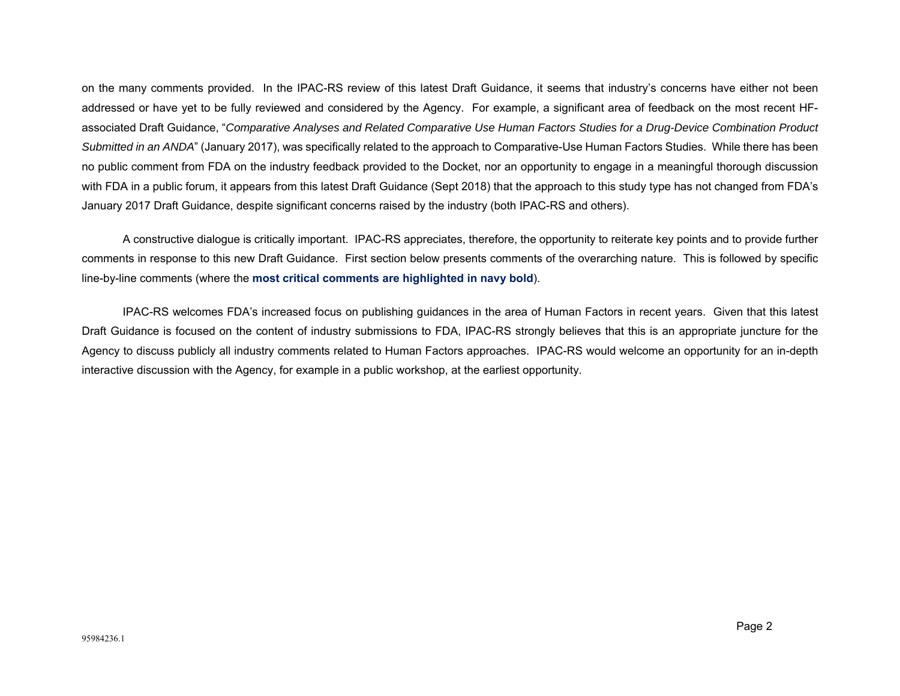on the many comments provided. In the IPAC-RS review of this latest Draft Guidance, it seems that industry's concerns have either not been addressed or have yet to be fully reviewed and considered by the Agency. For example, a significant area of feedback on the most recent HFassociated Draft Guidance, "*Comparative Analyses and Related Comparative Use Human Factors Studies for a Drug-Device Combination Product Submitted in an ANDA*" (January 2017), was specifically related to the approach to Comparative-Use Human Factors Studies. While there has been no public comment from FDA on the industry feedback provided to the Docket, nor an opportunity to engage in a meaningful thorough discussion with FDA in a public forum, it appears from this latest Draft Guidance (Sept 2018) that the approach to this study type has not changed from FDA's January 2017 Draft Guidance, despite significant concerns raised by the industry (both IPAC-RS and others).

 A constructive dialogue is critically important. IPAC-RS appreciates, therefore, the opportunity to reiterate key points and to provide further comments in response to this new Draft Guidance. First section below presents comments of the overarching nature. This is followed by specific line-by-line comments (where the **most critical comments are highlighted in navy bold**).

 IPAC-RS welcomes FDA's increased focus on publishing guidances in the area of Human Factors in recent years. Given that this latest Draft Guidance is focused on the content of industry submissions to FDA, IPAC-RS strongly believes that this is an appropriate juncture for the Agency to discuss publicly all industry comments related to Human Factors approaches. IPAC-RS would welcome an opportunity for an in-depth interactive discussion with the Agency, for example in a public workshop, at the earliest opportunity.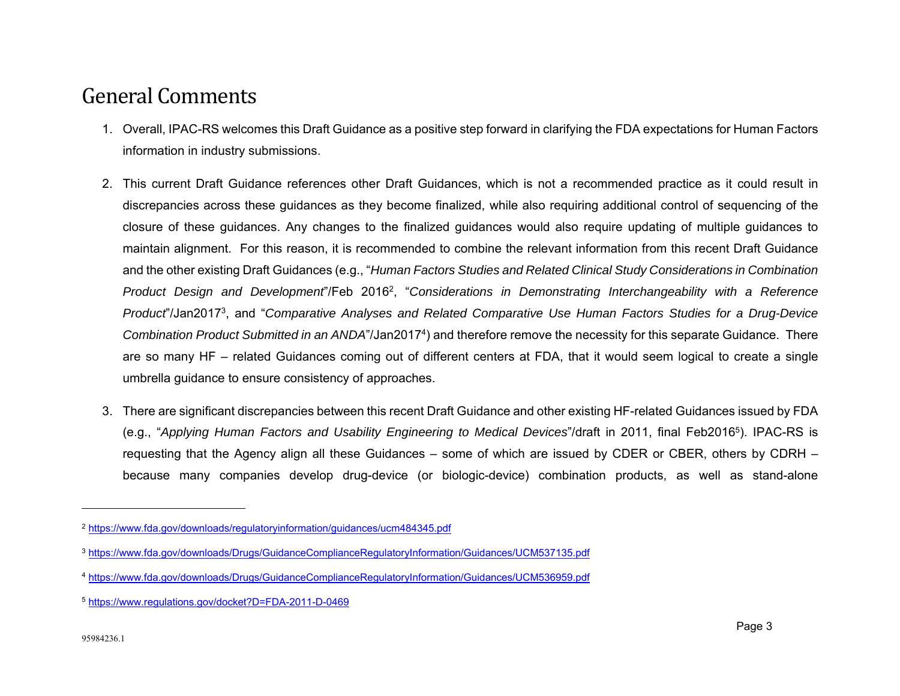## General Comments

- 1. Overall, IPAC-RS welcomes this Draft Guidance as a positive step forward in clarifying the FDA expectations for Human Factors information in industry submissions.
- 2. This current Draft Guidance references other Draft Guidances, which is not a recommended practice as it could result in discrepancies across these guidances as they become finalized, while also requiring additional control of sequencing of the closure of these guidances. Any changes to the finalized guidances would also require updating of multiple guidances to maintain alignment. For this reason, it is recommended to combine the relevant information from this recent Draft Guidance and the other existing Draft Guidances (e.g., "*Human Factors Studies and Related Clinical Study Considerations in Combination Product Design and Development*"/Feb 20162, "*Considerations in Demonstrating Interchangeability with a Reference Product*"/Jan20173, and "*Comparative Analyses and Related Comparative Use Human Factors Studies for a Drug-Device Combination Product Submitted in an ANDA*"/Jan20174) and therefore remove the necessity for this separate Guidance. There are so many HF – related Guidances coming out of different centers at FDA, that it would seem logical to create a single umbrella guidance to ensure consistency of approaches.
- 3. There are significant discrepancies between this recent Draft Guidance and other existing HF-related Guidances issued by FDA (e.g., "*Applying Human Factors and Usability Engineering to Medical Devices*"/draft in 2011, final Feb20165). IPAC-RS is requesting that the Agency align all these Guidances – some of which are issued by CDER or CBER, others by CDRH – because many companies develop drug-device (or biologic-device) combination products, as well as stand-alone

<sup>2</sup> https://www.fda.gov/downloads/regulatoryinformation/guidances/ucm484345.pdf

<sup>3</sup> https://www.fda.gov/downloads/Drugs/GuidanceComplianceRegulatoryInformation/Guidances/UCM537135.pdf

<sup>4</sup> https://www.fda.gov/downloads/Drugs/GuidanceComplianceRegulatoryInformation/Guidances/UCM536959.pdf

<sup>5</sup> https://www.regulations.gov/docket?D=FDA-2011-D-0469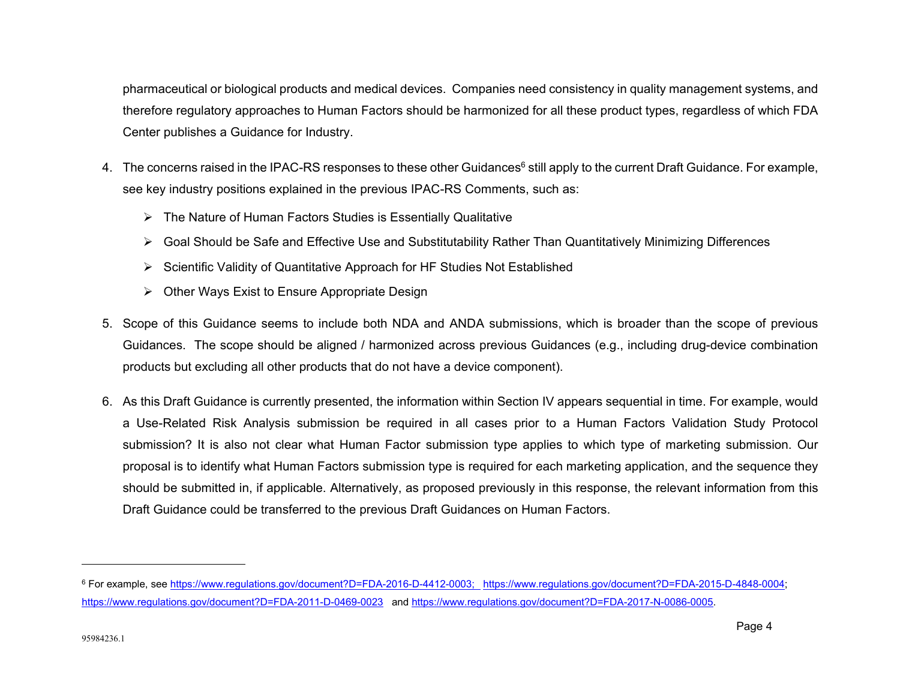pharmaceutical or biological products and medical devices. Companies need consistency in quality management systems, and therefore regulatory approaches to Human Factors should be harmonized for all these product types, regardless of which FDA Center publishes a Guidance for Industry.

- 4. The concerns raised in the IPAC-RS responses to these other Guidances<sup>6</sup> still apply to the current Draft Guidance. For example, see key industry positions explained in the previous IPAC-RS Comments, such as:
	- $\triangleright$  The Nature of Human Factors Studies is Essentially Qualitative
	- Goal Should be Safe and Effective Use and Substitutability Rather Than Quantitatively Minimizing Differences
	- $\triangleright$  Scientific Validity of Quantitative Approach for HF Studies Not Established
	- $\triangleright$  Other Ways Exist to Ensure Appropriate Design
- 5. Scope of this Guidance seems to include both NDA and ANDA submissions, which is broader than the scope of previous Guidances. The scope should be aligned / harmonized across previous Guidances (e.g., including drug-device combination products but excluding all other products that do not have a device component).
- 6. As this Draft Guidance is currently presented, the information within Section IV appears sequential in time. For example, would a Use-Related Risk Analysis submission be required in all cases prior to a Human Factors Validation Study Protocol submission? It is also not clear what Human Factor submission type applies to which type of marketing submission. Our proposal is to identify what Human Factors submission type is required for each marketing application, and the sequence they should be submitted in, if applicable. Alternatively, as proposed previously in this response, the relevant information from this Draft Guidance could be transferred to the previous Draft Guidances on Human Factors.

<sup>6</sup> For example, see https://www.regulations.gov/document?D=FDA-2016-D-4412-0003; https://www.regulations.gov/document?D=FDA-2015-D-4848-0004; https://www.regulations.gov/document?D=FDA-2011-D-0469-0023 and https://www.regulations.gov/document?D=FDA-2017-N-0086-0005.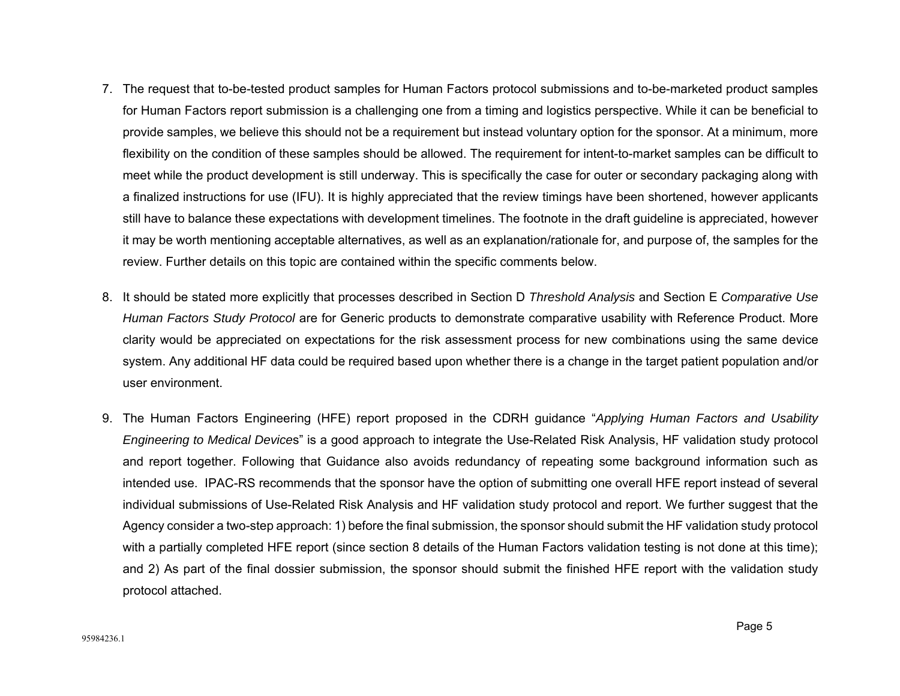- 7. The request that to-be-tested product samples for Human Factors protocol submissions and to-be-marketed product samples for Human Factors report submission is a challenging one from a timing and logistics perspective. While it can be beneficial to provide samples, we believe this should not be a requirement but instead voluntary option for the sponsor. At a minimum, more flexibility on the condition of these samples should be allowed. The requirement for intent-to-market samples can be difficult to meet while the product development is still underway. This is specifically the case for outer or secondary packaging along with a finalized instructions for use (IFU). It is highly appreciated that the review timings have been shortened, however applicants still have to balance these expectations with development timelines. The footnote in the draft guideline is appreciated, however it may be worth mentioning acceptable alternatives, as well as an explanation/rationale for, and purpose of, the samples for the review. Further details on this topic are contained within the specific comments below.
- 8. It should be stated more explicitly that processes described in Section D *Threshold Analysis* and Section E *Comparative Use Human Factors Study Protocol* are for Generic products to demonstrate comparative usability with Reference Product. More clarity would be appreciated on expectations for the risk assessment process for new combinations using the same device system. Any additional HF data could be required based upon whether there is a change in the target patient population and/or user environment.
- 9. The Human Factors Engineering (HFE) report proposed in the CDRH guidance "*Applying Human Factors and Usability Engineering to Medical Device*s" is a good approach to integrate the Use-Related Risk Analysis, HF validation study protocol and report together. Following that Guidance also avoids redundancy of repeating some background information such as intended use. IPAC-RS recommends that the sponsor have the option of submitting one overall HFE report instead of several individual submissions of Use-Related Risk Analysis and HF validation study protocol and report. We further suggest that the Agency consider a two-step approach: 1) before the final submission, the sponsor should submit the HF validation study protocol with a partially completed HFE report (since section 8 details of the Human Factors validation testing is not done at this time); and 2) As part of the final dossier submission, the sponsor should submit the finished HFE report with the validation study protocol attached.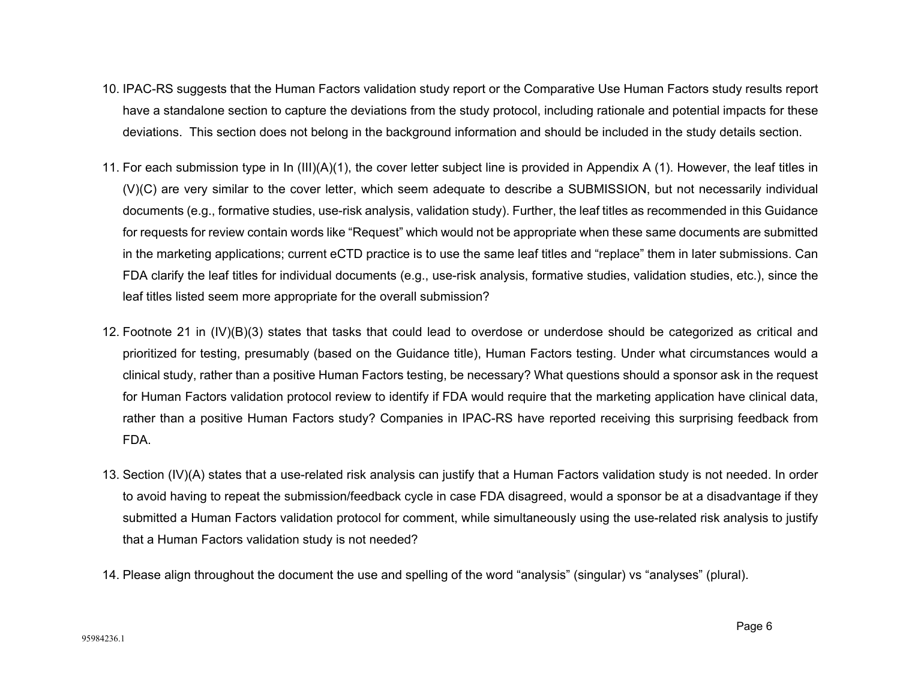- 10. IPAC-RS suggests that the Human Factors validation study report or the Comparative Use Human Factors study results report have a standalone section to capture the deviations from the study protocol, including rationale and potential impacts for these deviations. This section does not belong in the background information and should be included in the study details section.
- 11. For each submission type in In (III)(A)(1), the cover letter subject line is provided in Appendix A (1). However, the leaf titles in (V)(C) are very similar to the cover letter, which seem adequate to describe a SUBMISSION, but not necessarily individual documents (e.g., formative studies, use-risk analysis, validation study). Further, the leaf titles as recommended in this Guidance for requests for review contain words like "Request" which would not be appropriate when these same documents are submitted in the marketing applications; current eCTD practice is to use the same leaf titles and "replace" them in later submissions. Can FDA clarify the leaf titles for individual documents (e.g., use-risk analysis, formative studies, validation studies, etc.), since the leaf titles listed seem more appropriate for the overall submission?
- 12. Footnote 21 in (IV)(B)(3) states that tasks that could lead to overdose or underdose should be categorized as critical and prioritized for testing, presumably (based on the Guidance title), Human Factors testing. Under what circumstances would a clinical study, rather than a positive Human Factors testing, be necessary? What questions should a sponsor ask in the request for Human Factors validation protocol review to identify if FDA would require that the marketing application have clinical data, rather than a positive Human Factors study? Companies in IPAC-RS have reported receiving this surprising feedback from FDA.
- 13. Section (IV)(A) states that a use-related risk analysis can justify that a Human Factors validation study is not needed. In order to avoid having to repeat the submission/feedback cycle in case FDA disagreed, would a sponsor be at a disadvantage if they submitted a Human Factors validation protocol for comment, while simultaneously using the use-related risk analysis to justify that a Human Factors validation study is not needed?
- 14. Please align throughout the document the use and spelling of the word "analysis" (singular) vs "analyses" (plural).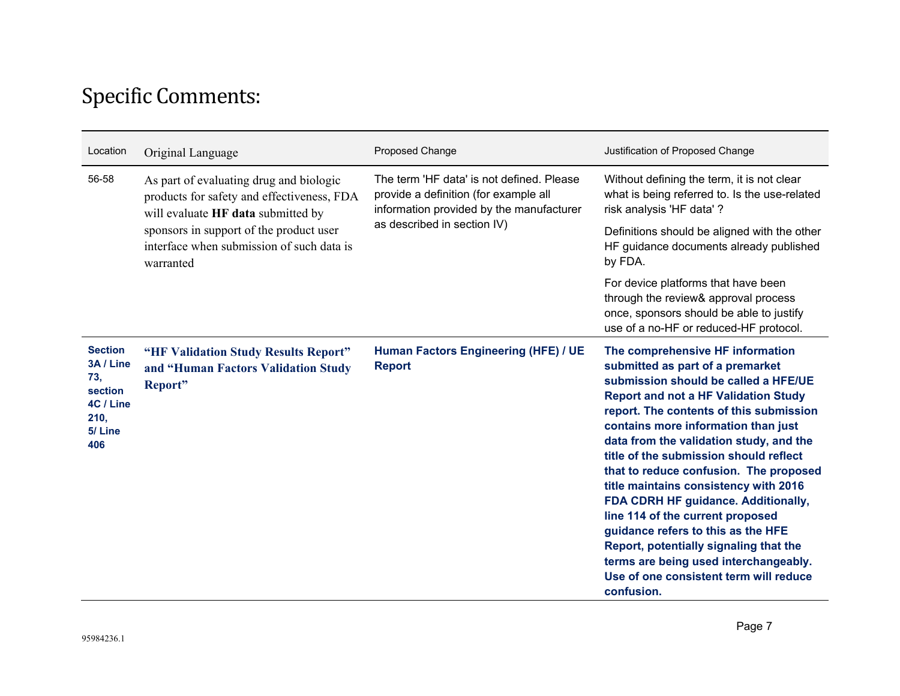## Specific Comments:

| Location                                                                            | Original Language                                                                                                                                                                                                                | Proposed Change                                                                                                                                               | Justification of Proposed Change                                                                                                                                                                                                                                                                                                                                                                                                                                                                                                                                                                                                                                                  |
|-------------------------------------------------------------------------------------|----------------------------------------------------------------------------------------------------------------------------------------------------------------------------------------------------------------------------------|---------------------------------------------------------------------------------------------------------------------------------------------------------------|-----------------------------------------------------------------------------------------------------------------------------------------------------------------------------------------------------------------------------------------------------------------------------------------------------------------------------------------------------------------------------------------------------------------------------------------------------------------------------------------------------------------------------------------------------------------------------------------------------------------------------------------------------------------------------------|
| 56-58                                                                               | As part of evaluating drug and biologic<br>products for safety and effectiveness, FDA<br>will evaluate HF data submitted by<br>sponsors in support of the product user<br>interface when submission of such data is<br>warranted | The term 'HF data' is not defined. Please<br>provide a definition (for example all<br>information provided by the manufacturer<br>as described in section IV) | Without defining the term, it is not clear<br>what is being referred to. Is the use-related<br>risk analysis 'HF data' ?                                                                                                                                                                                                                                                                                                                                                                                                                                                                                                                                                          |
|                                                                                     |                                                                                                                                                                                                                                  |                                                                                                                                                               | Definitions should be aligned with the other<br>HF guidance documents already published<br>by FDA.                                                                                                                                                                                                                                                                                                                                                                                                                                                                                                                                                                                |
|                                                                                     |                                                                                                                                                                                                                                  |                                                                                                                                                               | For device platforms that have been<br>through the review& approval process<br>once, sponsors should be able to justify<br>use of a no-HF or reduced-HF protocol.                                                                                                                                                                                                                                                                                                                                                                                                                                                                                                                 |
| <b>Section</b><br>3A / Line<br>73,<br>section<br>4C / Line<br>210,<br>5/Line<br>406 | "HF Validation Study Results Report"<br>and "Human Factors Validation Study<br>Report"                                                                                                                                           | Human Factors Engineering (HFE) / UE<br><b>Report</b>                                                                                                         | The comprehensive HF information<br>submitted as part of a premarket<br>submission should be called a HFE/UE<br><b>Report and not a HF Validation Study</b><br>report. The contents of this submission<br>contains more information than just<br>data from the validation study, and the<br>title of the submission should reflect<br>that to reduce confusion. The proposed<br>title maintains consistency with 2016<br>FDA CDRH HF guidance. Additionally,<br>line 114 of the current proposed<br>guidance refers to this as the HFE<br>Report, potentially signaling that the<br>terms are being used interchangeably.<br>Use of one consistent term will reduce<br>confusion. |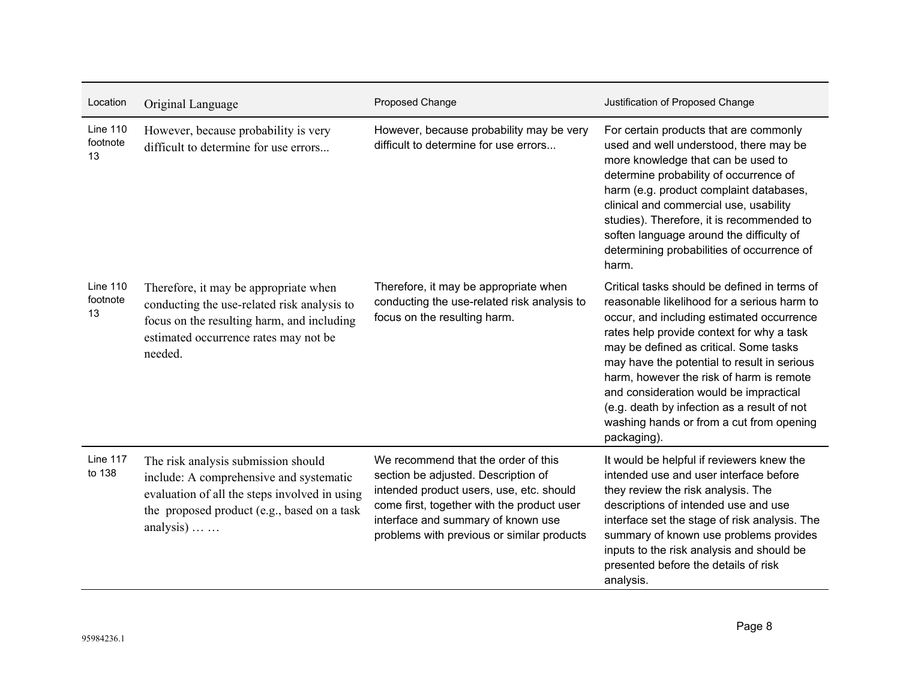| Location                          | Original Language                                                                                                                                                                           | Proposed Change                                                                                                                                                                                                                                          | Justification of Proposed Change                                                                                                                                                                                                                                                                                                                                                                                                                                               |
|-----------------------------------|---------------------------------------------------------------------------------------------------------------------------------------------------------------------------------------------|----------------------------------------------------------------------------------------------------------------------------------------------------------------------------------------------------------------------------------------------------------|--------------------------------------------------------------------------------------------------------------------------------------------------------------------------------------------------------------------------------------------------------------------------------------------------------------------------------------------------------------------------------------------------------------------------------------------------------------------------------|
| <b>Line 110</b><br>footnote<br>13 | However, because probability is very<br>difficult to determine for use errors                                                                                                               | However, because probability may be very<br>difficult to determine for use errors                                                                                                                                                                        | For certain products that are commonly<br>used and well understood, there may be<br>more knowledge that can be used to<br>determine probability of occurrence of<br>harm (e.g. product complaint databases,<br>clinical and commercial use, usability<br>studies). Therefore, it is recommended to<br>soften language around the difficulty of<br>determining probabilities of occurrence of<br>harm.                                                                          |
| <b>Line 110</b><br>footnote<br>13 | Therefore, it may be appropriate when<br>conducting the use-related risk analysis to<br>focus on the resulting harm, and including<br>estimated occurrence rates may not be<br>needed.      | Therefore, it may be appropriate when<br>conducting the use-related risk analysis to<br>focus on the resulting harm.                                                                                                                                     | Critical tasks should be defined in terms of<br>reasonable likelihood for a serious harm to<br>occur, and including estimated occurrence<br>rates help provide context for why a task<br>may be defined as critical. Some tasks<br>may have the potential to result in serious<br>harm, however the risk of harm is remote<br>and consideration would be impractical<br>(e.g. death by infection as a result of not<br>washing hands or from a cut from opening<br>packaging). |
| Line 117<br>to 138                | The risk analysis submission should<br>include: A comprehensive and systematic<br>evaluation of all the steps involved in using<br>the proposed product (e.g., based on a task<br>analysis) | We recommend that the order of this<br>section be adjusted. Description of<br>intended product users, use, etc. should<br>come first, together with the product user<br>interface and summary of known use<br>problems with previous or similar products | It would be helpful if reviewers knew the<br>intended use and user interface before<br>they review the risk analysis. The<br>descriptions of intended use and use<br>interface set the stage of risk analysis. The<br>summary of known use problems provides<br>inputs to the risk analysis and should be<br>presented before the details of risk<br>analysis.                                                                                                                 |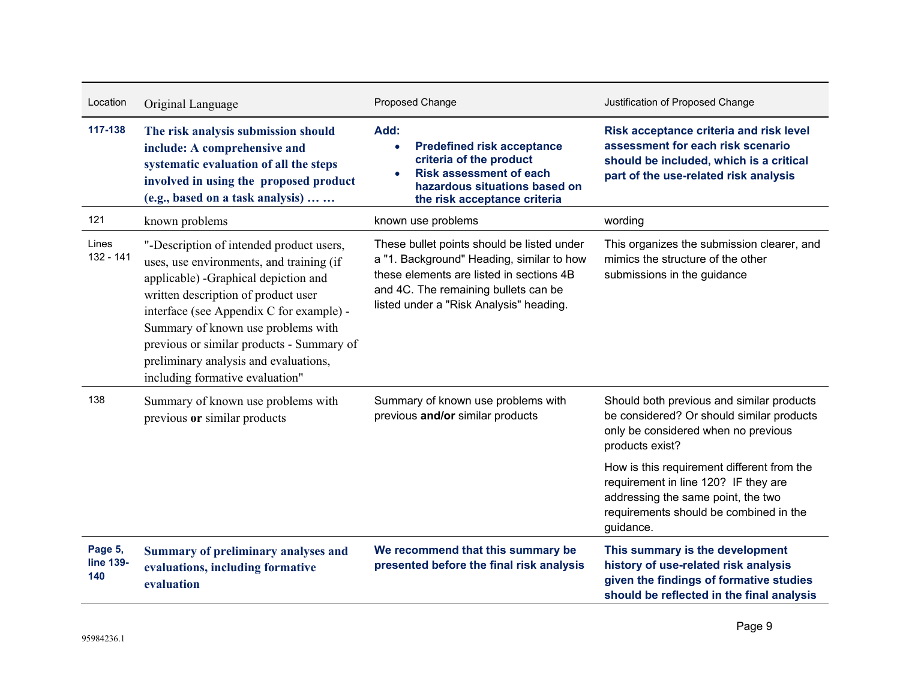| Location                           | Original Language                                                                                                                                                                                                                                                                                                                                                              | Proposed Change                                                                                                                                                                                                        | Justification of Proposed Change                                                                                                                                                |
|------------------------------------|--------------------------------------------------------------------------------------------------------------------------------------------------------------------------------------------------------------------------------------------------------------------------------------------------------------------------------------------------------------------------------|------------------------------------------------------------------------------------------------------------------------------------------------------------------------------------------------------------------------|---------------------------------------------------------------------------------------------------------------------------------------------------------------------------------|
| 117-138                            | The risk analysis submission should<br>include: A comprehensive and<br>systematic evaluation of all the steps<br>involved in using the proposed product<br>(e.g., based on a task analysis)                                                                                                                                                                                    | Add:<br><b>Predefined risk acceptance</b><br>criteria of the product<br><b>Risk assessment of each</b><br>hazardous situations based on<br>the risk acceptance criteria                                                | Risk acceptance criteria and risk level<br>assessment for each risk scenario<br>should be included, which is a critical<br>part of the use-related risk analysis                |
| 121                                | known problems                                                                                                                                                                                                                                                                                                                                                                 | known use problems                                                                                                                                                                                                     | wording                                                                                                                                                                         |
| Lines<br>132 - 141                 | "-Description of intended product users,<br>uses, use environments, and training (if<br>applicable) -Graphical depiction and<br>written description of product user<br>interface (see Appendix C for example) -<br>Summary of known use problems with<br>previous or similar products - Summary of<br>preliminary analysis and evaluations,<br>including formative evaluation" | These bullet points should be listed under<br>a "1. Background" Heading, similar to how<br>these elements are listed in sections 4B<br>and 4C. The remaining bullets can be<br>listed under a "Risk Analysis" heading. | This organizes the submission clearer, and<br>mimics the structure of the other<br>submissions in the guidance                                                                  |
| 138                                | Summary of known use problems with<br>previous or similar products                                                                                                                                                                                                                                                                                                             | Summary of known use problems with<br>previous and/or similar products                                                                                                                                                 | Should both previous and similar products<br>be considered? Or should similar products<br>only be considered when no previous<br>products exist?                                |
|                                    |                                                                                                                                                                                                                                                                                                                                                                                |                                                                                                                                                                                                                        | How is this requirement different from the<br>requirement in line 120? IF they are<br>addressing the same point, the two<br>requirements should be combined in the<br>guidance. |
| Page 5,<br><b>line 139-</b><br>140 | <b>Summary of preliminary analyses and</b><br>evaluations, including formative<br>evaluation                                                                                                                                                                                                                                                                                   | We recommend that this summary be<br>presented before the final risk analysis                                                                                                                                          | This summary is the development<br>history of use-related risk analysis<br>given the findings of formative studies<br>should be reflected in the final analysis                 |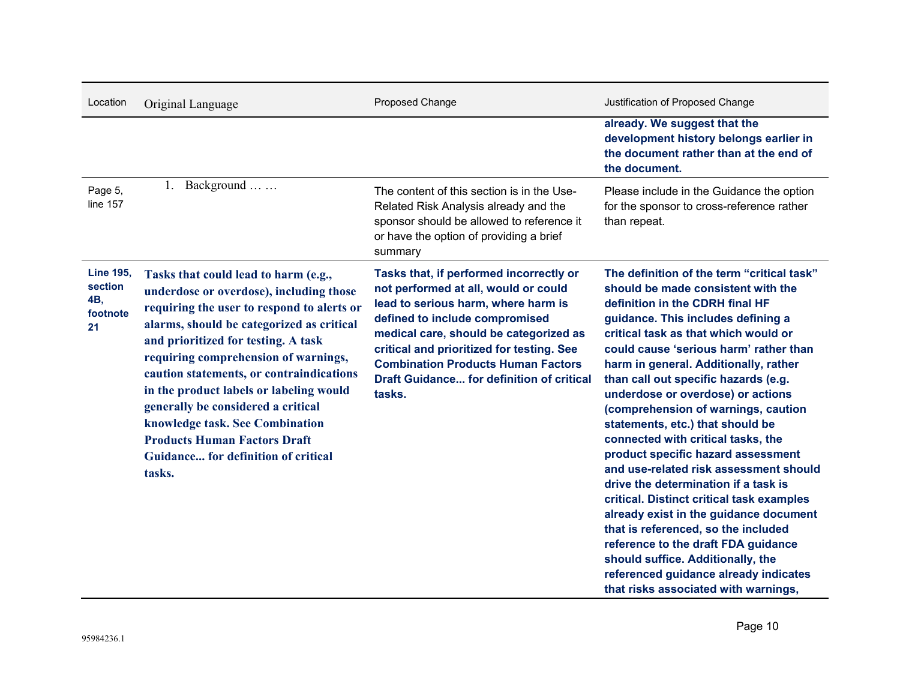| Location                                             | Original Language                                                                                                                                                                                                                                                                                                                                                                                                                                                                                                 | Proposed Change                                                                                                                                                                                                                                                                                                                                            | Justification of Proposed Change                                                                                                                                                                                                                                                                                                                                                                                                                                                                                                                                                                                                                                                                                                                                                                                                                                                                      |
|------------------------------------------------------|-------------------------------------------------------------------------------------------------------------------------------------------------------------------------------------------------------------------------------------------------------------------------------------------------------------------------------------------------------------------------------------------------------------------------------------------------------------------------------------------------------------------|------------------------------------------------------------------------------------------------------------------------------------------------------------------------------------------------------------------------------------------------------------------------------------------------------------------------------------------------------------|-------------------------------------------------------------------------------------------------------------------------------------------------------------------------------------------------------------------------------------------------------------------------------------------------------------------------------------------------------------------------------------------------------------------------------------------------------------------------------------------------------------------------------------------------------------------------------------------------------------------------------------------------------------------------------------------------------------------------------------------------------------------------------------------------------------------------------------------------------------------------------------------------------|
|                                                      |                                                                                                                                                                                                                                                                                                                                                                                                                                                                                                                   |                                                                                                                                                                                                                                                                                                                                                            | already. We suggest that the<br>development history belongs earlier in<br>the document rather than at the end of<br>the document.                                                                                                                                                                                                                                                                                                                                                                                                                                                                                                                                                                                                                                                                                                                                                                     |
| Page 5,<br>line 157                                  | 1. Background                                                                                                                                                                                                                                                                                                                                                                                                                                                                                                     | The content of this section is in the Use-<br>Related Risk Analysis already and the<br>sponsor should be allowed to reference it<br>or have the option of providing a brief<br>summary                                                                                                                                                                     | Please include in the Guidance the option<br>for the sponsor to cross-reference rather<br>than repeat.                                                                                                                                                                                                                                                                                                                                                                                                                                                                                                                                                                                                                                                                                                                                                                                                |
| <b>Line 195,</b><br>section<br>4B,<br>footnote<br>21 | Tasks that could lead to harm (e.g.,<br>underdose or overdose), including those<br>requiring the user to respond to alerts or<br>alarms, should be categorized as critical<br>and prioritized for testing. A task<br>requiring comprehension of warnings,<br>caution statements, or contraindications<br>in the product labels or labeling would<br>generally be considered a critical<br>knowledge task. See Combination<br><b>Products Human Factors Draft</b><br>Guidance for definition of critical<br>tasks. | Tasks that, if performed incorrectly or<br>not performed at all, would or could<br>lead to serious harm, where harm is<br>defined to include compromised<br>medical care, should be categorized as<br>critical and prioritized for testing. See<br><b>Combination Products Human Factors</b><br><b>Draft Guidance for definition of critical</b><br>tasks. | The definition of the term "critical task"<br>should be made consistent with the<br>definition in the CDRH final HF<br>guidance. This includes defining a<br>critical task as that which would or<br>could cause 'serious harm' rather than<br>harm in general. Additionally, rather<br>than call out specific hazards (e.g.<br>underdose or overdose) or actions<br>(comprehension of warnings, caution<br>statements, etc.) that should be<br>connected with critical tasks, the<br>product specific hazard assessment<br>and use-related risk assessment should<br>drive the determination if a task is<br>critical. Distinct critical task examples<br>already exist in the guidance document<br>that is referenced, so the included<br>reference to the draft FDA guidance<br>should suffice. Additionally, the<br>referenced guidance already indicates<br>that risks associated with warnings, |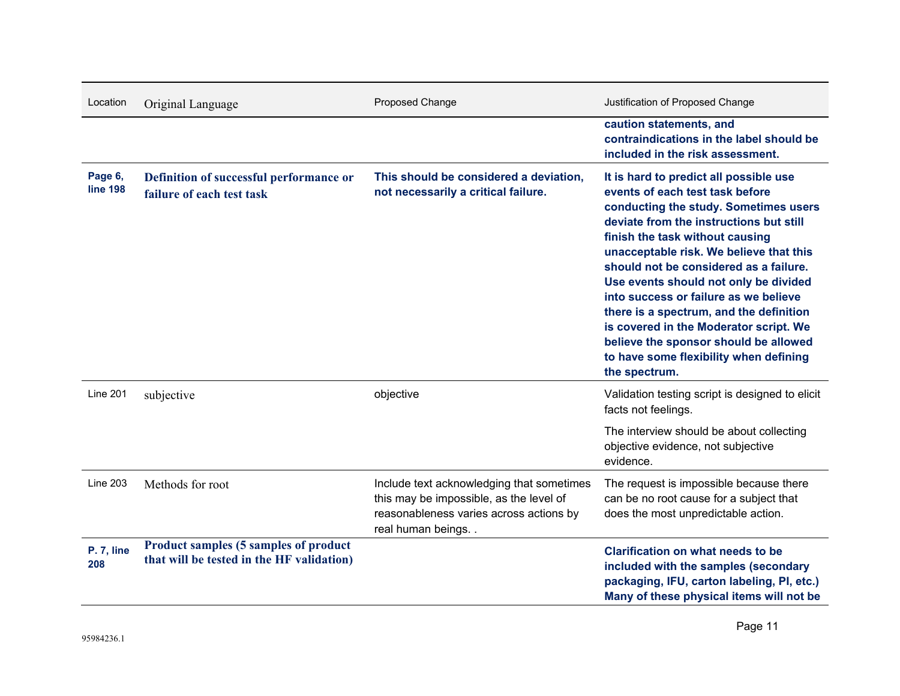| Location                   | Original Language                                                                         | Proposed Change                                                                                                                                      | Justification of Proposed Change                                                                                                                                                                                                                                                                                                                                                                                                                                                                                                                                 |
|----------------------------|-------------------------------------------------------------------------------------------|------------------------------------------------------------------------------------------------------------------------------------------------------|------------------------------------------------------------------------------------------------------------------------------------------------------------------------------------------------------------------------------------------------------------------------------------------------------------------------------------------------------------------------------------------------------------------------------------------------------------------------------------------------------------------------------------------------------------------|
|                            |                                                                                           |                                                                                                                                                      | caution statements, and<br>contraindications in the label should be<br>included in the risk assessment.                                                                                                                                                                                                                                                                                                                                                                                                                                                          |
| Page 6,<br><b>line 198</b> | Definition of successful performance or<br>failure of each test task                      | This should be considered a deviation,<br>not necessarily a critical failure.                                                                        | It is hard to predict all possible use<br>events of each test task before<br>conducting the study. Sometimes users<br>deviate from the instructions but still<br>finish the task without causing<br>unacceptable risk. We believe that this<br>should not be considered as a failure.<br>Use events should not only be divided<br>into success or failure as we believe<br>there is a spectrum, and the definition<br>is covered in the Moderator script. We<br>believe the sponsor should be allowed<br>to have some flexibility when defining<br>the spectrum. |
| <b>Line 201</b>            | subjective                                                                                | objective                                                                                                                                            | Validation testing script is designed to elicit<br>facts not feelings.                                                                                                                                                                                                                                                                                                                                                                                                                                                                                           |
|                            |                                                                                           |                                                                                                                                                      | The interview should be about collecting<br>objective evidence, not subjective<br>evidence.                                                                                                                                                                                                                                                                                                                                                                                                                                                                      |
| <b>Line 203</b>            | Methods for root                                                                          | Include text acknowledging that sometimes<br>this may be impossible, as the level of<br>reasonableness varies across actions by<br>real human beings | The request is impossible because there<br>can be no root cause for a subject that<br>does the most unpredictable action.                                                                                                                                                                                                                                                                                                                                                                                                                                        |
| P. 7, line<br>208          | <b>Product samples (5 samples of product</b><br>that will be tested in the HF validation) |                                                                                                                                                      | <b>Clarification on what needs to be</b><br>included with the samples (secondary<br>packaging, IFU, carton labeling, PI, etc.)<br>Many of these physical items will not be                                                                                                                                                                                                                                                                                                                                                                                       |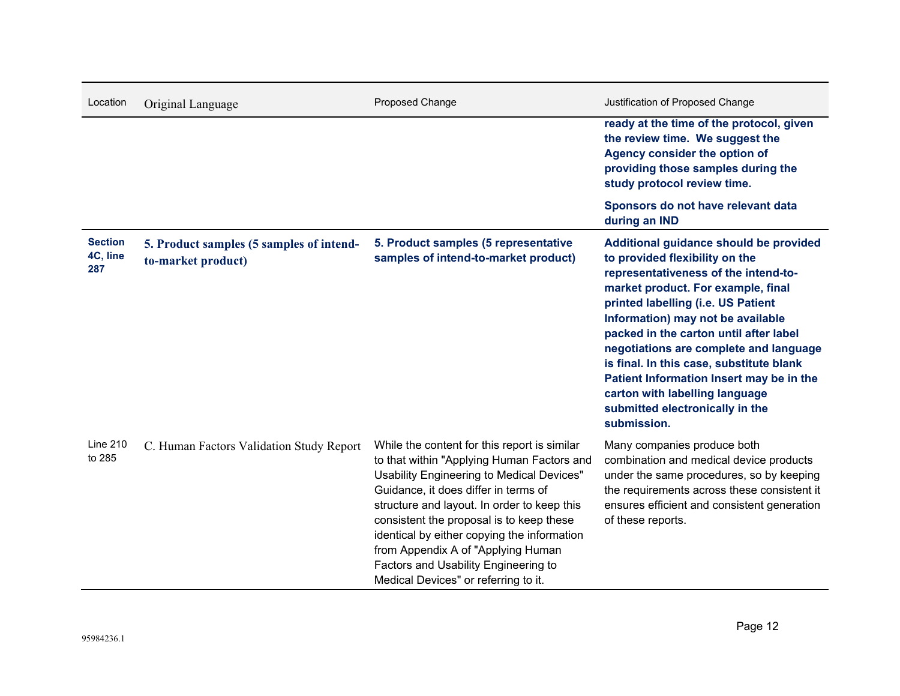| Location                          | Original Language                                              | Proposed Change                                                                                                                                                                                                                                                                                                                                                                                                                                 | Justification of Proposed Change                                                                                                                                                                                                                                                                                                                                                                                                                                                                  |
|-----------------------------------|----------------------------------------------------------------|-------------------------------------------------------------------------------------------------------------------------------------------------------------------------------------------------------------------------------------------------------------------------------------------------------------------------------------------------------------------------------------------------------------------------------------------------|---------------------------------------------------------------------------------------------------------------------------------------------------------------------------------------------------------------------------------------------------------------------------------------------------------------------------------------------------------------------------------------------------------------------------------------------------------------------------------------------------|
|                                   |                                                                |                                                                                                                                                                                                                                                                                                                                                                                                                                                 | ready at the time of the protocol, given<br>the review time. We suggest the<br>Agency consider the option of<br>providing those samples during the<br>study protocol review time.                                                                                                                                                                                                                                                                                                                 |
|                                   |                                                                |                                                                                                                                                                                                                                                                                                                                                                                                                                                 | Sponsors do not have relevant data<br>during an IND                                                                                                                                                                                                                                                                                                                                                                                                                                               |
| <b>Section</b><br>4C, line<br>287 | 5. Product samples (5 samples of intend-<br>to-market product) | 5. Product samples (5 representative<br>samples of intend-to-market product)                                                                                                                                                                                                                                                                                                                                                                    | Additional guidance should be provided<br>to provided flexibility on the<br>representativeness of the intend-to-<br>market product. For example, final<br>printed labelling (i.e. US Patient<br>Information) may not be available<br>packed in the carton until after label<br>negotiations are complete and language<br>is final. In this case, substitute blank<br>Patient Information Insert may be in the<br>carton with labelling language<br>submitted electronically in the<br>submission. |
| <b>Line 210</b><br>to 285         | C. Human Factors Validation Study Report                       | While the content for this report is similar<br>to that within "Applying Human Factors and<br>Usability Engineering to Medical Devices"<br>Guidance, it does differ in terms of<br>structure and layout. In order to keep this<br>consistent the proposal is to keep these<br>identical by either copying the information<br>from Appendix A of "Applying Human<br>Factors and Usability Engineering to<br>Medical Devices" or referring to it. | Many companies produce both<br>combination and medical device products<br>under the same procedures, so by keeping<br>the requirements across these consistent it<br>ensures efficient and consistent generation<br>of these reports.                                                                                                                                                                                                                                                             |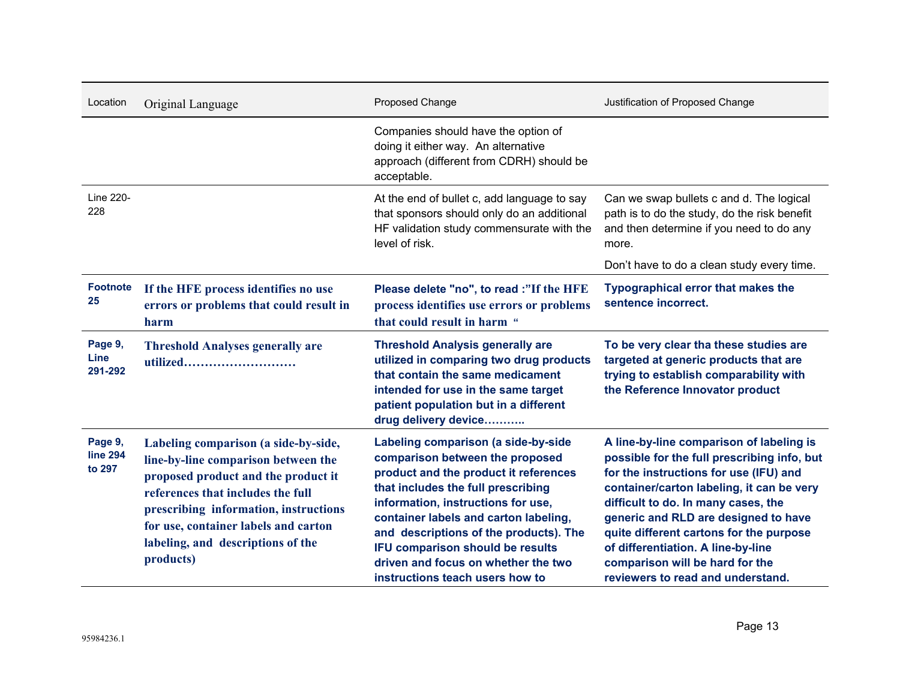| Location                             | Original Language                                                                                                                                                                                                                                                                          | Proposed Change                                                                                                                                                                                                                                                                                                                                                                              | Justification of Proposed Change                                                                                                                                                                                                                                                                                                                                                                                       |
|--------------------------------------|--------------------------------------------------------------------------------------------------------------------------------------------------------------------------------------------------------------------------------------------------------------------------------------------|----------------------------------------------------------------------------------------------------------------------------------------------------------------------------------------------------------------------------------------------------------------------------------------------------------------------------------------------------------------------------------------------|------------------------------------------------------------------------------------------------------------------------------------------------------------------------------------------------------------------------------------------------------------------------------------------------------------------------------------------------------------------------------------------------------------------------|
|                                      |                                                                                                                                                                                                                                                                                            | Companies should have the option of<br>doing it either way. An alternative<br>approach (different from CDRH) should be<br>acceptable.                                                                                                                                                                                                                                                        |                                                                                                                                                                                                                                                                                                                                                                                                                        |
| Line 220-<br>228                     |                                                                                                                                                                                                                                                                                            | At the end of bullet c, add language to say<br>that sponsors should only do an additional<br>HF validation study commensurate with the<br>level of risk.                                                                                                                                                                                                                                     | Can we swap bullets c and d. The logical<br>path is to do the study, do the risk benefit<br>and then determine if you need to do any<br>more.                                                                                                                                                                                                                                                                          |
|                                      |                                                                                                                                                                                                                                                                                            |                                                                                                                                                                                                                                                                                                                                                                                              | Don't have to do a clean study every time.                                                                                                                                                                                                                                                                                                                                                                             |
| <b>Footnote</b><br>25                | If the HFE process identifies no use<br>errors or problems that could result in<br>harm                                                                                                                                                                                                    | Please delete "no", to read :"If the HFE<br>process identifies use errors or problems<br>that could result in harm "                                                                                                                                                                                                                                                                         | <b>Typographical error that makes the</b><br>sentence incorrect.                                                                                                                                                                                                                                                                                                                                                       |
| Page 9,<br>Line<br>291-292           | <b>Threshold Analyses generally are</b><br>utilized                                                                                                                                                                                                                                        | <b>Threshold Analysis generally are</b><br>utilized in comparing two drug products<br>that contain the same medicament<br>intended for use in the same target<br>patient population but in a different<br>drug delivery device                                                                                                                                                               | To be very clear tha these studies are<br>targeted at generic products that are<br>trying to establish comparability with<br>the Reference Innovator product                                                                                                                                                                                                                                                           |
| Page 9,<br><b>line 294</b><br>to 297 | Labeling comparison (a side-by-side,<br>line-by-line comparison between the<br>proposed product and the product it<br>references that includes the full<br>prescribing information, instructions<br>for use, container labels and carton<br>labeling, and descriptions of the<br>products) | Labeling comparison (a side-by-side<br>comparison between the proposed<br>product and the product it references<br>that includes the full prescribing<br>information, instructions for use,<br>container labels and carton labeling,<br>and descriptions of the products). The<br>IFU comparison should be results<br>driven and focus on whether the two<br>instructions teach users how to | A line-by-line comparison of labeling is<br>possible for the full prescribing info, but<br>for the instructions for use (IFU) and<br>container/carton labeling, it can be very<br>difficult to do. In many cases, the<br>generic and RLD are designed to have<br>quite different cartons for the purpose<br>of differentiation. A line-by-line<br>comparison will be hard for the<br>reviewers to read and understand. |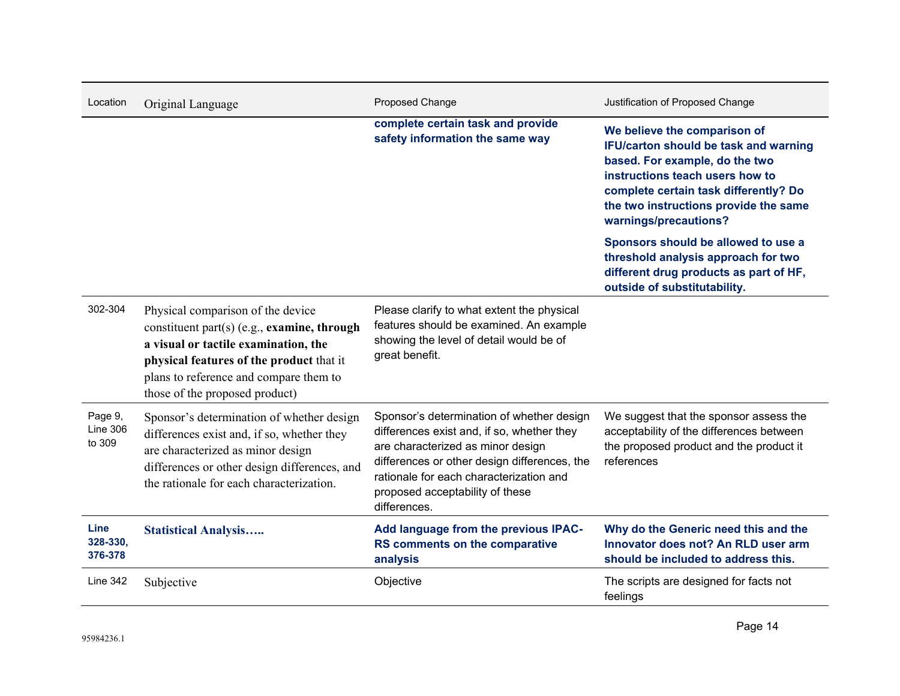| Location                             | Original Language                                                                                                                                                                                                                                | Proposed Change                                                                                                                                                                                                                                                            | Justification of Proposed Change                                                                                                                                                                                                                      |
|--------------------------------------|--------------------------------------------------------------------------------------------------------------------------------------------------------------------------------------------------------------------------------------------------|----------------------------------------------------------------------------------------------------------------------------------------------------------------------------------------------------------------------------------------------------------------------------|-------------------------------------------------------------------------------------------------------------------------------------------------------------------------------------------------------------------------------------------------------|
|                                      |                                                                                                                                                                                                                                                  | complete certain task and provide<br>safety information the same way                                                                                                                                                                                                       | We believe the comparison of<br>IFU/carton should be task and warning<br>based. For example, do the two<br>instructions teach users how to<br>complete certain task differently? Do<br>the two instructions provide the same<br>warnings/precautions? |
|                                      |                                                                                                                                                                                                                                                  |                                                                                                                                                                                                                                                                            | Sponsors should be allowed to use a<br>threshold analysis approach for two<br>different drug products as part of HF,<br>outside of substitutability.                                                                                                  |
| 302-304                              | Physical comparison of the device<br>constituent part(s) (e.g., examine, through<br>a visual or tactile examination, the<br>physical features of the product that it<br>plans to reference and compare them to<br>those of the proposed product) | Please clarify to what extent the physical<br>features should be examined. An example<br>showing the level of detail would be of<br>great benefit.                                                                                                                         |                                                                                                                                                                                                                                                       |
| Page 9,<br><b>Line 306</b><br>to 309 | Sponsor's determination of whether design<br>differences exist and, if so, whether they<br>are characterized as minor design<br>differences or other design differences, and<br>the rationale for each characterization.                         | Sponsor's determination of whether design<br>differences exist and, if so, whether they<br>are characterized as minor design<br>differences or other design differences, the<br>rationale for each characterization and<br>proposed acceptability of these<br>differences. | We suggest that the sponsor assess the<br>acceptability of the differences between<br>the proposed product and the product it<br>references                                                                                                           |
| Line<br>328-330,<br>376-378          | <b>Statistical Analysis</b>                                                                                                                                                                                                                      | Add language from the previous IPAC-<br>RS comments on the comparative<br>analysis                                                                                                                                                                                         | Why do the Generic need this and the<br>Innovator does not? An RLD user arm<br>should be included to address this.                                                                                                                                    |
| <b>Line 342</b>                      | Subjective                                                                                                                                                                                                                                       | Objective                                                                                                                                                                                                                                                                  | The scripts are designed for facts not<br>feelings                                                                                                                                                                                                    |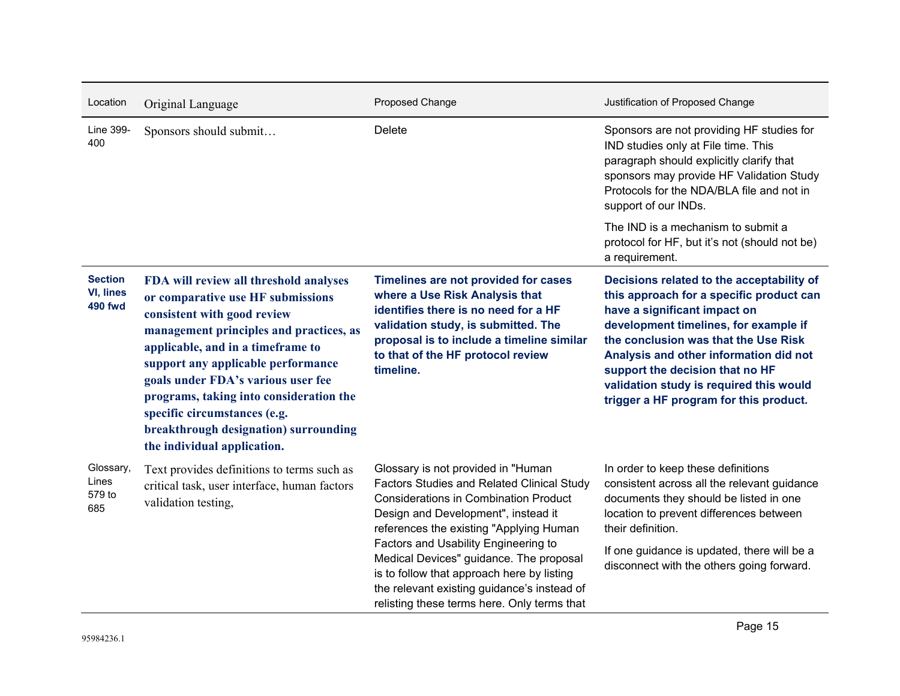| Location                                             | Original Language                                                                                                                                                                                                                                                                                                                                                                                                         | Proposed Change                                                                                                                                                                                                                                                                                                                                                                                                                                          | Justification of Proposed Change                                                                                                                                                                                                                                                                                                                                         |
|------------------------------------------------------|---------------------------------------------------------------------------------------------------------------------------------------------------------------------------------------------------------------------------------------------------------------------------------------------------------------------------------------------------------------------------------------------------------------------------|----------------------------------------------------------------------------------------------------------------------------------------------------------------------------------------------------------------------------------------------------------------------------------------------------------------------------------------------------------------------------------------------------------------------------------------------------------|--------------------------------------------------------------------------------------------------------------------------------------------------------------------------------------------------------------------------------------------------------------------------------------------------------------------------------------------------------------------------|
| Line 399-<br>400                                     | Sponsors should submit                                                                                                                                                                                                                                                                                                                                                                                                    | Delete                                                                                                                                                                                                                                                                                                                                                                                                                                                   | Sponsors are not providing HF studies for<br>IND studies only at File time. This<br>paragraph should explicitly clarify that<br>sponsors may provide HF Validation Study<br>Protocols for the NDA/BLA file and not in<br>support of our INDs.                                                                                                                            |
|                                                      |                                                                                                                                                                                                                                                                                                                                                                                                                           |                                                                                                                                                                                                                                                                                                                                                                                                                                                          | The IND is a mechanism to submit a<br>protocol for HF, but it's not (should not be)<br>a requirement.                                                                                                                                                                                                                                                                    |
| <b>Section</b><br><b>VI, lines</b><br><b>490 fwd</b> | FDA will review all threshold analyses<br>or comparative use HF submissions<br>consistent with good review<br>management principles and practices, as<br>applicable, and in a timeframe to<br>support any applicable performance<br>goals under FDA's various user fee<br>programs, taking into consideration the<br>specific circumstances (e.g.<br>breakthrough designation) surrounding<br>the individual application. | Timelines are not provided for cases<br>where a Use Risk Analysis that<br>identifies there is no need for a HF<br>validation study, is submitted. The<br>proposal is to include a timeline similar<br>to that of the HF protocol review<br>timeline.                                                                                                                                                                                                     | Decisions related to the acceptability of<br>this approach for a specific product can<br>have a significant impact on<br>development timelines, for example if<br>the conclusion was that the Use Risk<br>Analysis and other information did not<br>support the decision that no HF<br>validation study is required this would<br>trigger a HF program for this product. |
| Glossary,<br>Lines<br>579 to<br>685                  | Text provides definitions to terms such as<br>critical task, user interface, human factors<br>validation testing,                                                                                                                                                                                                                                                                                                         | Glossary is not provided in "Human<br><b>Factors Studies and Related Clinical Study</b><br><b>Considerations in Combination Product</b><br>Design and Development", instead it<br>references the existing "Applying Human<br>Factors and Usability Engineering to<br>Medical Devices" guidance. The proposal<br>is to follow that approach here by listing<br>the relevant existing guidance's instead of<br>relisting these terms here. Only terms that | In order to keep these definitions<br>consistent across all the relevant guidance<br>documents they should be listed in one<br>location to prevent differences between<br>their definition.<br>If one guidance is updated, there will be a<br>disconnect with the others going forward.                                                                                  |